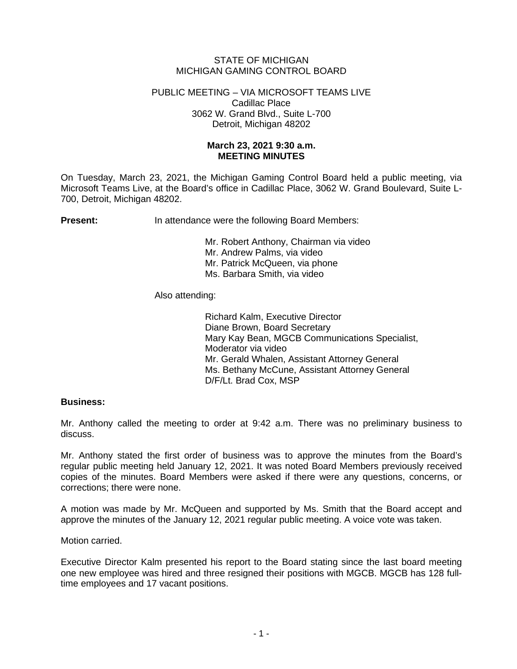# STATE OF MICHIGAN MICHIGAN GAMING CONTROL BOARD

#### PUBLIC MEETING – VIA MICROSOFT TEAMS LIVE Cadillac Place 3062 W. Grand Blvd., Suite L-700 Detroit, Michigan 48202

# **March 23, 2021 9:30 a.m. MEETING MINUTES**

On Tuesday, March 23, 2021, the Michigan Gaming Control Board held a public meeting, via Microsoft Teams Live, at the Board's office in Cadillac Place, 3062 W. Grand Boulevard, Suite L-700, Detroit, Michigan 48202.

**Present:** In attendance were the following Board Members:

Mr. Robert Anthony, Chairman via video Mr. Andrew Palms, via video Mr. Patrick McQueen, via phone Ms. Barbara Smith, via video

Also attending:

Richard Kalm, Executive Director Diane Brown, Board Secretary Mary Kay Bean, MGCB Communications Specialist, Moderator via video Mr. Gerald Whalen, Assistant Attorney General Ms. Bethany McCune, Assistant Attorney General D/F/Lt. Brad Cox, MSP

### **Business:**

Mr. Anthony called the meeting to order at 9:42 a.m. There was no preliminary business to discuss.

Mr. Anthony stated the first order of business was to approve the minutes from the Board's regular public meeting held January 12, 2021. It was noted Board Members previously received copies of the minutes. Board Members were asked if there were any questions, concerns, or corrections; there were none.

A motion was made by Mr. McQueen and supported by Ms. Smith that the Board accept and approve the minutes of the January 12, 2021 regular public meeting. A voice vote was taken.

Motion carried.

Executive Director Kalm presented his report to the Board stating since the last board meeting one new employee was hired and three resigned their positions with MGCB. MGCB has 128 fulltime employees and 17 vacant positions.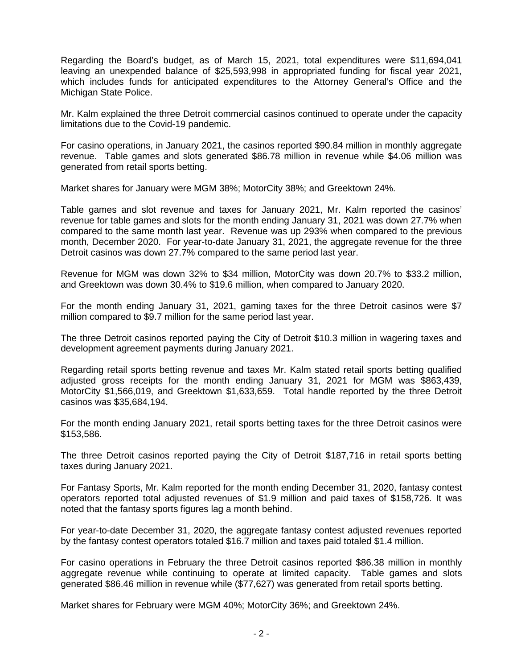Regarding the Board's budget, as of March 15, 2021, total expenditures were \$11,694,041 leaving an unexpended balance of \$25,593,998 in appropriated funding for fiscal year 2021, which includes funds for anticipated expenditures to the Attorney General's Office and the Michigan State Police.

Mr. Kalm explained the three Detroit commercial casinos continued to operate under the capacity limitations due to the Covid-19 pandemic.

For casino operations, in January 2021, the casinos reported \$90.84 million in monthly aggregate revenue. Table games and slots generated \$86.78 million in revenue while \$4.06 million was generated from retail sports betting.

Market shares for January were MGM 38%; MotorCity 38%; and Greektown 24%.

Table games and slot revenue and taxes for January 2021, Mr. Kalm reported the casinos' revenue for table games and slots for the month ending January 31, 2021 was down 27.7% when compared to the same month last year. Revenue was up 293% when compared to the previous month, December 2020. For year-to-date January 31, 2021, the aggregate revenue for the three Detroit casinos was down 27.7% compared to the same period last year.

Revenue for MGM was down 32% to \$34 million, MotorCity was down 20.7% to \$33.2 million, and Greektown was down 30.4% to \$19.6 million, when compared to January 2020.

For the month ending January 31, 2021, gaming taxes for the three Detroit casinos were \$7 million compared to \$9.7 million for the same period last year.

The three Detroit casinos reported paying the City of Detroit \$10.3 million in wagering taxes and development agreement payments during January 2021.

Regarding retail sports betting revenue and taxes Mr. Kalm stated retail sports betting qualified adjusted gross receipts for the month ending January 31, 2021 for MGM was \$863,439, MotorCity \$1,566,019, and Greektown \$1,633,659. Total handle reported by the three Detroit casinos was \$35,684,194.

For the month ending January 2021, retail sports betting taxes for the three Detroit casinos were \$153,586.

The three Detroit casinos reported paying the City of Detroit \$187,716 in retail sports betting taxes during January 2021.

For Fantasy Sports, Mr. Kalm reported for the month ending December 31, 2020, fantasy contest operators reported total adjusted revenues of \$1.9 million and paid taxes of \$158,726. It was noted that the fantasy sports figures lag a month behind.

For year-to-date December 31, 2020, the aggregate fantasy contest adjusted revenues reported by the fantasy contest operators totaled \$16.7 million and taxes paid totaled \$1.4 million.

For casino operations in February the three Detroit casinos reported \$86.38 million in monthly aggregate revenue while continuing to operate at limited capacity. Table games and slots generated \$86.46 million in revenue while (\$77,627) was generated from retail sports betting.

Market shares for February were MGM 40%; MotorCity 36%; and Greektown 24%.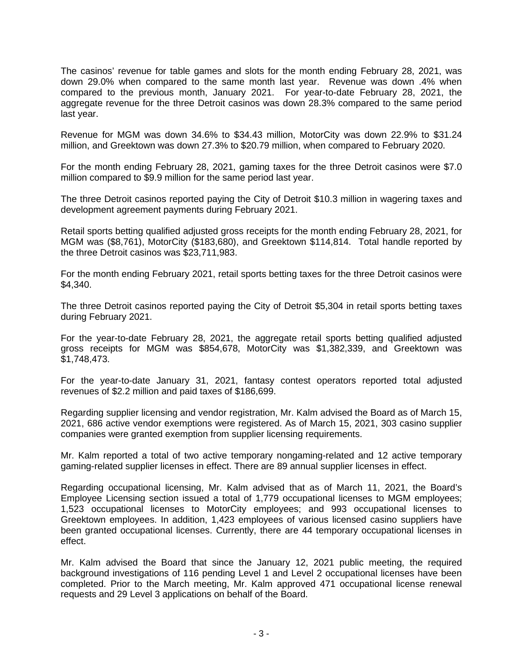The casinos' revenue for table games and slots for the month ending February 28, 2021, was down 29.0% when compared to the same month last year. Revenue was down .4% when compared to the previous month, January 2021. For year-to-date February 28, 2021, the aggregate revenue for the three Detroit casinos was down 28.3% compared to the same period last year.

Revenue for MGM was down 34.6% to \$34.43 million, MotorCity was down 22.9% to \$31.24 million, and Greektown was down 27.3% to \$20.79 million, when compared to February 2020.

For the month ending February 28, 2021, gaming taxes for the three Detroit casinos were \$7.0 million compared to \$9.9 million for the same period last year.

The three Detroit casinos reported paying the City of Detroit \$10.3 million in wagering taxes and development agreement payments during February 2021.

Retail sports betting qualified adjusted gross receipts for the month ending February 28, 2021, for MGM was (\$8,761), MotorCity (\$183,680), and Greektown \$114,814. Total handle reported by the three Detroit casinos was \$23,711,983.

For the month ending February 2021, retail sports betting taxes for the three Detroit casinos were \$4,340.

The three Detroit casinos reported paying the City of Detroit \$5,304 in retail sports betting taxes during February 2021.

For the year-to-date February 28, 2021, the aggregate retail sports betting qualified adjusted gross receipts for MGM was \$854,678, MotorCity was \$1,382,339, and Greektown was \$1,748,473.

For the year-to-date January 31, 2021, fantasy contest operators reported total adjusted revenues of \$2.2 million and paid taxes of \$186,699.

Regarding supplier licensing and vendor registration, Mr. Kalm advised the Board as of March 15, 2021, 686 active vendor exemptions were registered. As of March 15, 2021, 303 casino supplier companies were granted exemption from supplier licensing requirements.

Mr. Kalm reported a total of two active temporary nongaming-related and 12 active temporary gaming-related supplier licenses in effect. There are 89 annual supplier licenses in effect.

Regarding occupational licensing, Mr. Kalm advised that as of March 11, 2021, the Board's Employee Licensing section issued a total of 1,779 occupational licenses to MGM employees; 1,523 occupational licenses to MotorCity employees; and 993 occupational licenses to Greektown employees. In addition, 1,423 employees of various licensed casino suppliers have been granted occupational licenses. Currently, there are 44 temporary occupational licenses in effect.

Mr. Kalm advised the Board that since the January 12, 2021 public meeting, the required background investigations of 116 pending Level 1 and Level 2 occupational licenses have been completed. Prior to the March meeting, Mr. Kalm approved 471 occupational license renewal requests and 29 Level 3 applications on behalf of the Board.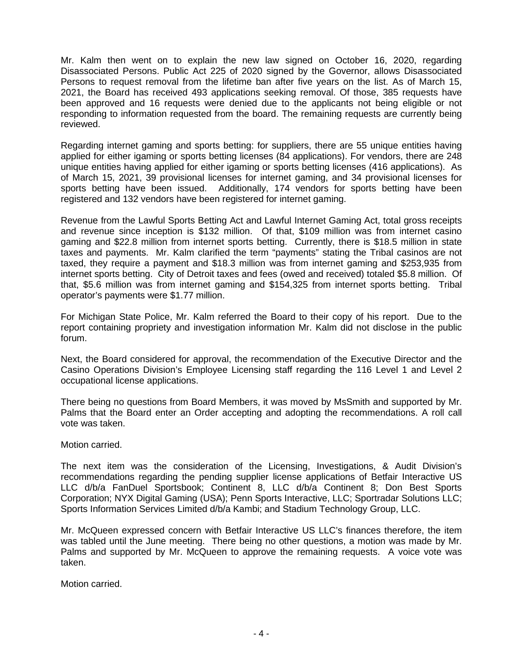Mr. Kalm then went on to explain the new law signed on October 16, 2020, regarding Disassociated Persons. Public Act 225 of 2020 signed by the Governor, allows Disassociated Persons to request removal from the lifetime ban after five years on the list. As of March 15, 2021, the Board has received 493 applications seeking removal. Of those, 385 requests have been approved and 16 requests were denied due to the applicants not being eligible or not responding to information requested from the board. The remaining requests are currently being reviewed.

Regarding internet gaming and sports betting: for suppliers, there are 55 unique entities having applied for either igaming or sports betting licenses (84 applications). For vendors, there are 248 unique entities having applied for either igaming or sports betting licenses (416 applications). As of March 15, 2021, 39 provisional licenses for internet gaming, and 34 provisional licenses for sports betting have been issued. Additionally, 174 vendors for sports betting have been registered and 132 vendors have been registered for internet gaming.

Revenue from the Lawful Sports Betting Act and Lawful Internet Gaming Act, total gross receipts and revenue since inception is \$132 million. Of that, \$109 million was from internet casino gaming and \$22.8 million from internet sports betting. Currently, there is \$18.5 million in state taxes and payments. Mr. Kalm clarified the term "payments" stating the Tribal casinos are not taxed, they require a payment and \$18.3 million was from internet gaming and \$253,935 from internet sports betting. City of Detroit taxes and fees (owed and received) totaled \$5.8 million. Of that, \$5.6 million was from internet gaming and \$154,325 from internet sports betting. Tribal operator's payments were \$1.77 million.

For Michigan State Police, Mr. Kalm referred the Board to their copy of his report. Due to the report containing propriety and investigation information Mr. Kalm did not disclose in the public forum.

Next, the Board considered for approval, the recommendation of the Executive Director and the Casino Operations Division's Employee Licensing staff regarding the 116 Level 1 and Level 2 occupational license applications.

There being no questions from Board Members, it was moved by MsSmith and supported by Mr. Palms that the Board enter an Order accepting and adopting the recommendations. A roll call vote was taken.

### Motion carried.

The next item was the consideration of the Licensing, Investigations, & Audit Division's recommendations regarding the pending supplier license applications of Betfair Interactive US LLC d/b/a FanDuel Sportsbook; Continent 8, LLC d/b/a Continent 8; Don Best Sports Corporation; NYX Digital Gaming (USA); Penn Sports Interactive, LLC; Sportradar Solutions LLC; Sports Information Services Limited d/b/a Kambi; and Stadium Technology Group, LLC.

Mr. McQueen expressed concern with Betfair Interactive US LLC's finances therefore, the item was tabled until the June meeting. There being no other questions, a motion was made by Mr. Palms and supported by Mr. McQueen to approve the remaining requests. A voice vote was taken.

Motion carried.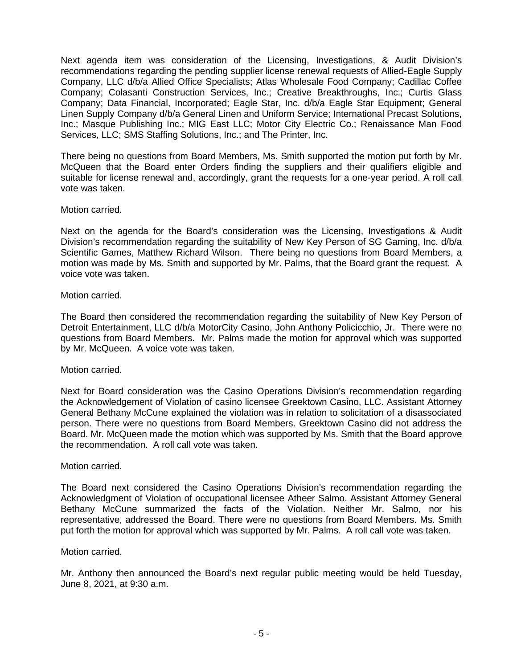Next agenda item was consideration of the Licensing, Investigations, & Audit Division's recommendations regarding the pending supplier license renewal requests of Allied-Eagle Supply Company, LLC d/b/a Allied Office Specialists; Atlas Wholesale Food Company; Cadillac Coffee Company; Colasanti Construction Services, Inc.; Creative Breakthroughs, Inc.; Curtis Glass Company; Data Financial, Incorporated; Eagle Star, Inc. d/b/a Eagle Star Equipment; General Linen Supply Company d/b/a General Linen and Uniform Service; International Precast Solutions, Inc.; Masque Publishing Inc.; MIG East LLC; Motor City Electric Co.; Renaissance Man Food Services, LLC; SMS Staffing Solutions, Inc.; and The Printer, Inc.

There being no questions from Board Members, Ms. Smith supported the motion put forth by Mr. McQueen that the Board enter Orders finding the suppliers and their qualifiers eligible and suitable for license renewal and, accordingly, grant the requests for a one-year period. A roll call vote was taken.

### Motion carried.

Next on the agenda for the Board's consideration was the Licensing, Investigations & Audit Division's recommendation regarding the suitability of New Key Person of SG Gaming, Inc. d/b/a Scientific Games, Matthew Richard Wilson. There being no questions from Board Members, a motion was made by Ms. Smith and supported by Mr. Palms, that the Board grant the request. A voice vote was taken.

# Motion carried.

The Board then considered the recommendation regarding the suitability of New Key Person of Detroit Entertainment, LLC d/b/a MotorCity Casino, John Anthony Policicchio, Jr. There were no questions from Board Members. Mr. Palms made the motion for approval which was supported by Mr. McQueen. A voice vote was taken.

### Motion carried.

Next for Board consideration was the Casino Operations Division's recommendation regarding the Acknowledgement of Violation of casino licensee Greektown Casino, LLC. Assistant Attorney General Bethany McCune explained the violation was in relation to solicitation of a disassociated person. There were no questions from Board Members. Greektown Casino did not address the Board. Mr. McQueen made the motion which was supported by Ms. Smith that the Board approve the recommendation. A roll call vote was taken.

### Motion carried.

The Board next considered the Casino Operations Division's recommendation regarding the Acknowledgment of Violation of occupational licensee Atheer Salmo. Assistant Attorney General Bethany McCune summarized the facts of the Violation. Neither Mr. Salmo, nor his representative, addressed the Board. There were no questions from Board Members. Ms. Smith put forth the motion for approval which was supported by Mr. Palms. A roll call vote was taken.

### Motion carried.

Mr. Anthony then announced the Board's next regular public meeting would be held Tuesday, June 8, 2021, at 9:30 a.m.